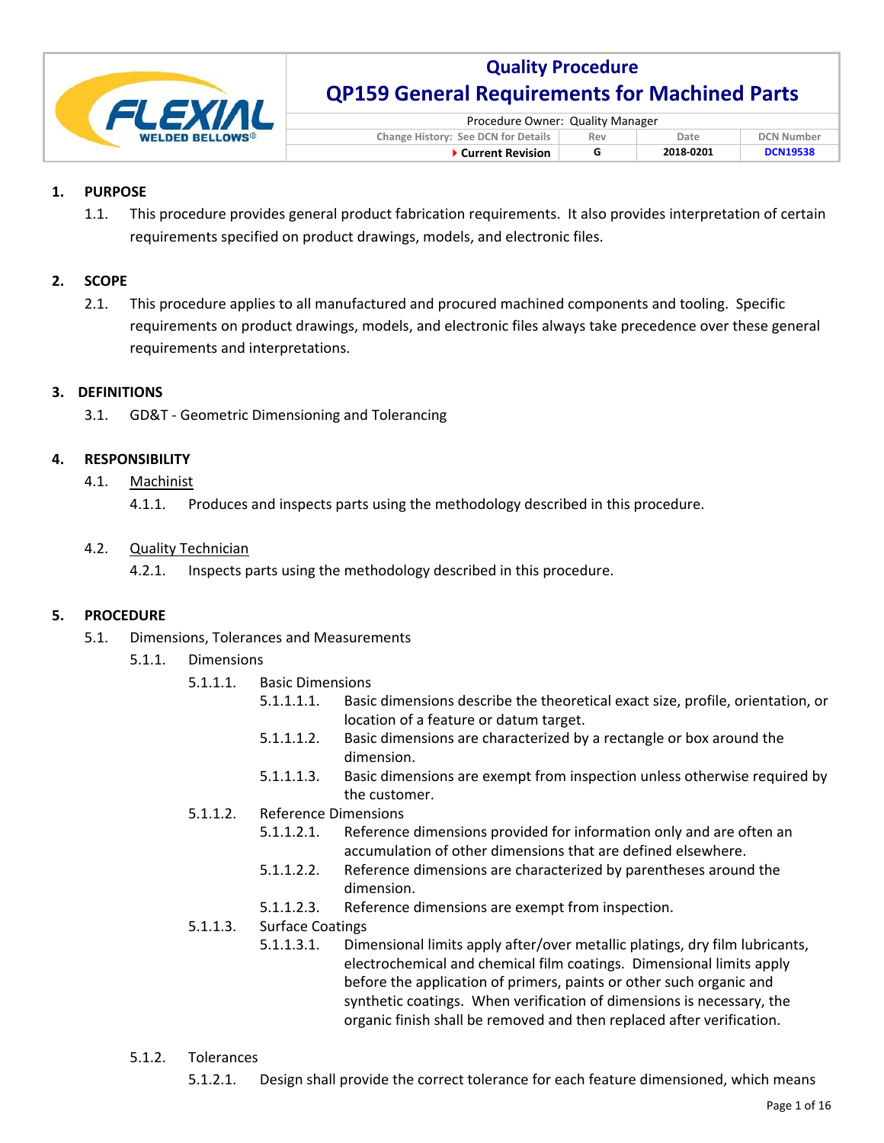

| Procedure Owner: Quality Manager                                        |  |  |  |  |
|-------------------------------------------------------------------------|--|--|--|--|
| Change History: See DCN for Details<br><b>DCN Number</b><br>Date<br>Rev |  |  |  |  |
| <b>DCN19538</b><br>2018-0201<br>▶ Current Revision<br>G                 |  |  |  |  |

### **1. PURPOSE**

1.1. This procedure provides general product fabrication requirements. It also provides interpretation of certain requirements specified on product drawings, models, and electronic files.

### **2. SCOPE**

2.1. This procedure applies to all manufactured and procured machined components and tooling. Specific requirements on product drawings, models, and electronic files always take precedence over these general requirements and interpretations.

## **3. DEFINITIONS**

3.1. GD&T ‐ Geometric Dimensioning and Tolerancing

## **4. RESPONSIBILITY**

- 4.1. Machinist
	- 4.1.1. Produces and inspects parts using the methodology described in this procedure.

### 4.2. Quality Technician

4.2.1. Inspects parts using the methodology described in this procedure.

### **5. PROCEDURE**

- 5.1. Dimensions, Tolerances and Measurements
	- 5.1.1. Dimensions
		- 5.1.1.1. Basic Dimensions
			- 5.1.1.1.1. Basic dimensions describe the theoretical exact size, profile, orientation, or location of a feature or datum target.
			- 5.1.1.1.2. Basic dimensions are characterized by a rectangle or box around the dimension.
			- 5.1.1.1.3. Basic dimensions are exempt from inspection unless otherwise required by the customer.
		- 5.1.1.2. Reference Dimensions
			- 5.1.1.2.1. Reference dimensions provided for information only and are often an accumulation of other dimensions that are defined elsewhere.
			- 5.1.1.2.2. Reference dimensions are characterized by parentheses around the dimension.
			- 5.1.1.2.3. Reference dimensions are exempt from inspection.

### 5.1.1.3. Surface Coatings

- 5.1.1.3.1. Dimensional limits apply after/over metallic platings, dry film lubricants, electrochemical and chemical film coatings. Dimensional limits apply before the application of primers, paints or other such organic and synthetic coatings. When verification of dimensions is necessary, the organic finish shall be removed and then replaced after verification.
- 5.1.2. Tolerances
	- 5.1.2.1. Design shall provide the correct tolerance for each feature dimensioned, which means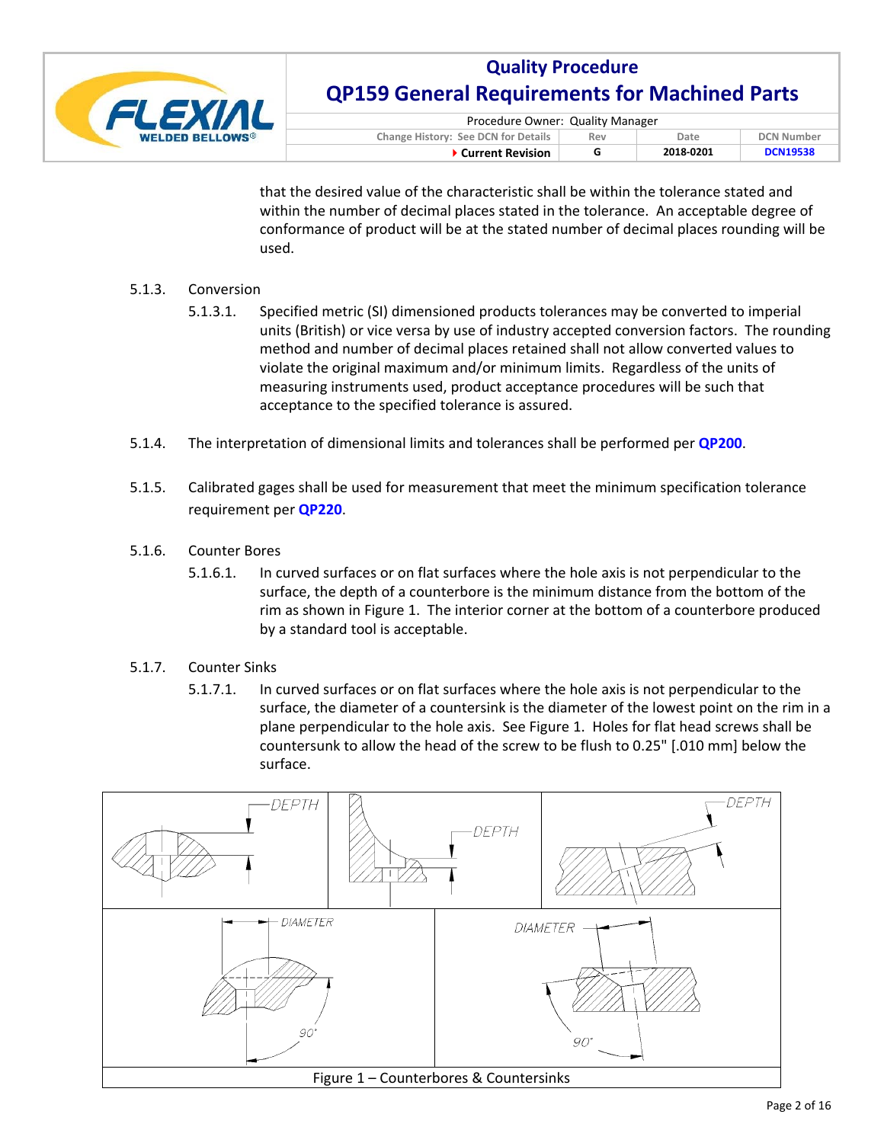

| Procedure Owner: Quality Manager                                               |   |           |                 |  |
|--------------------------------------------------------------------------------|---|-----------|-----------------|--|
| <b>Change History: See DCN for Details</b><br><b>DCN Number</b><br>Date<br>Rev |   |           |                 |  |
| ▶ Current Revision                                                             | G | 2018-0201 | <b>DCN19538</b> |  |

that the desired value of the characteristic shall be within the tolerance stated and within the number of decimal places stated in the tolerance. An acceptable degree of conformance of product will be at the stated number of decimal places rounding will be used.

### 5.1.3. Conversion

- 5.1.3.1. Specified metric (SI) dimensioned products tolerances may be converted to imperial units (British) or vice versa by use of industry accepted conversion factors. The rounding method and number of decimal places retained shall not allow converted values to violate the original maximum and/or minimum limits. Regardless of the units of measuring instruments used, product acceptance procedures will be such that acceptance to the specified tolerance is assured.
- 5.1.4. The interpretation of dimensional limits and tolerances shall be performed per **QP200**.
- 5.1.5. Calibrated gages shall be used for measurement that meet the minimum specification tolerance requirement per **QP220**.
- 5.1.6. Counter Bores
	- 5.1.6.1. In curved surfaces or on flat surfaces where the hole axis is not perpendicular to the surface, the depth of a counterbore is the minimum distance from the bottom of the rim as shown in Figure 1. The interior corner at the bottom of a counterbore produced by a standard tool is acceptable.
- 5.1.7. Counter Sinks
	- 5.1.7.1. In curved surfaces or on flat surfaces where the hole axis is not perpendicular to the surface, the diameter of a countersink is the diameter of the lowest point on the rim in a plane perpendicular to the hole axis. See Figure 1. Holes for flat head screws shall be countersunk to allow the head of the screw to be flush to 0.25" [.010 mm] below the surface.

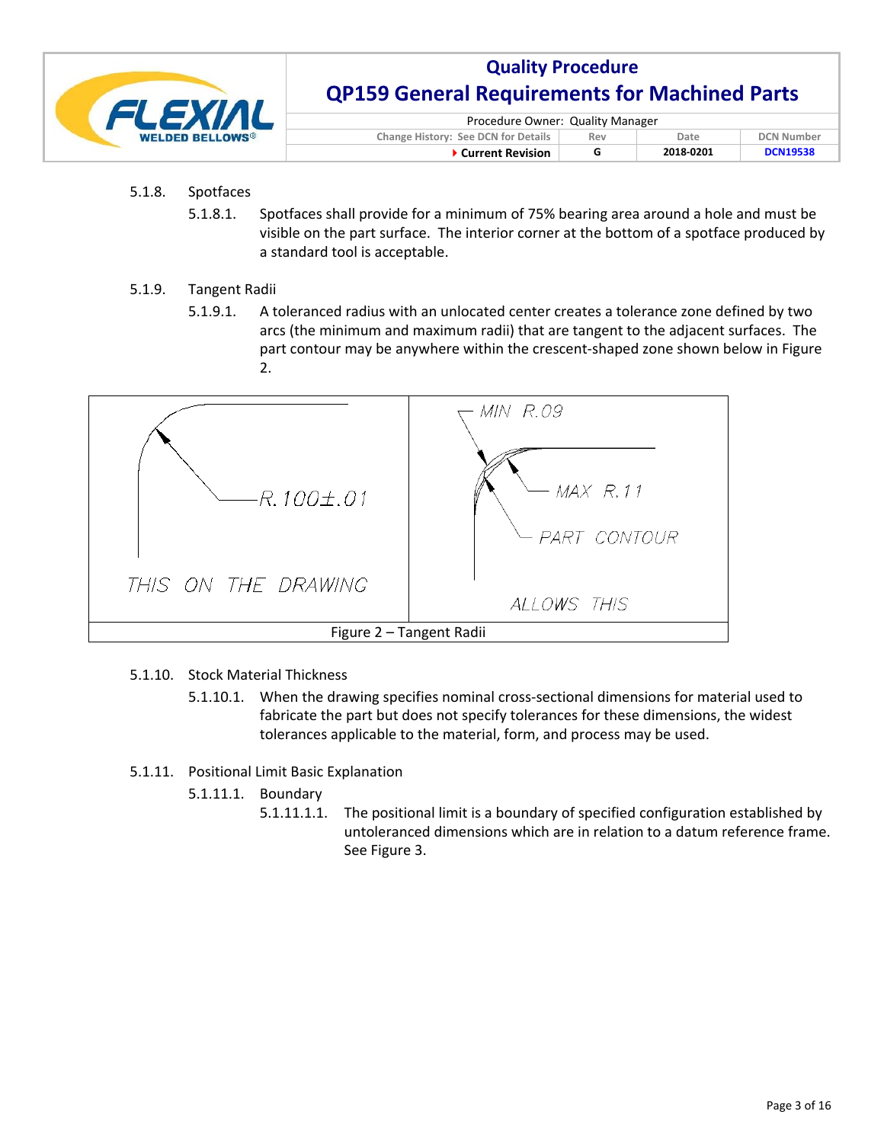

| Procedure Owner: Quality Manager                                        |  |           |                 |  |
|-------------------------------------------------------------------------|--|-----------|-----------------|--|
| Change History: See DCN for Details<br><b>DCN Number</b><br>Rev<br>Date |  |           |                 |  |
| ▶ Current Revision                                                      |  | 2018-0201 | <b>DCN19538</b> |  |

## 5.1.8. Spotfaces

5.1.8.1. Spotfaces shall provide for a minimum of 75% bearing area around a hole and must be visible on the part surface. The interior corner at the bottom of a spotface produced by a standard tool is acceptable.

### 5.1.9. Tangent Radii

5.1.9.1. A toleranced radius with an unlocated center creates a tolerance zone defined by two arcs (the minimum and maximum radii) that are tangent to the adjacent surfaces. The part contour may be anywhere within the crescent-shaped zone shown below in Figure 2.



- 5.1.10. Stock Material Thickness
	- 5.1.10.1. When the drawing specifies nominal cross-sectional dimensions for material used to fabricate the part but does not specify tolerances for these dimensions, the widest tolerances applicable to the material, form, and process may be used.
- 5.1.11. Positional Limit Basic Explanation
	- 5.1.11.1. Boundary
		- 5.1.11.1.1. The positional limit is a boundary of specified configuration established by untoleranced dimensions which are in relation to a datum reference frame. See Figure 3.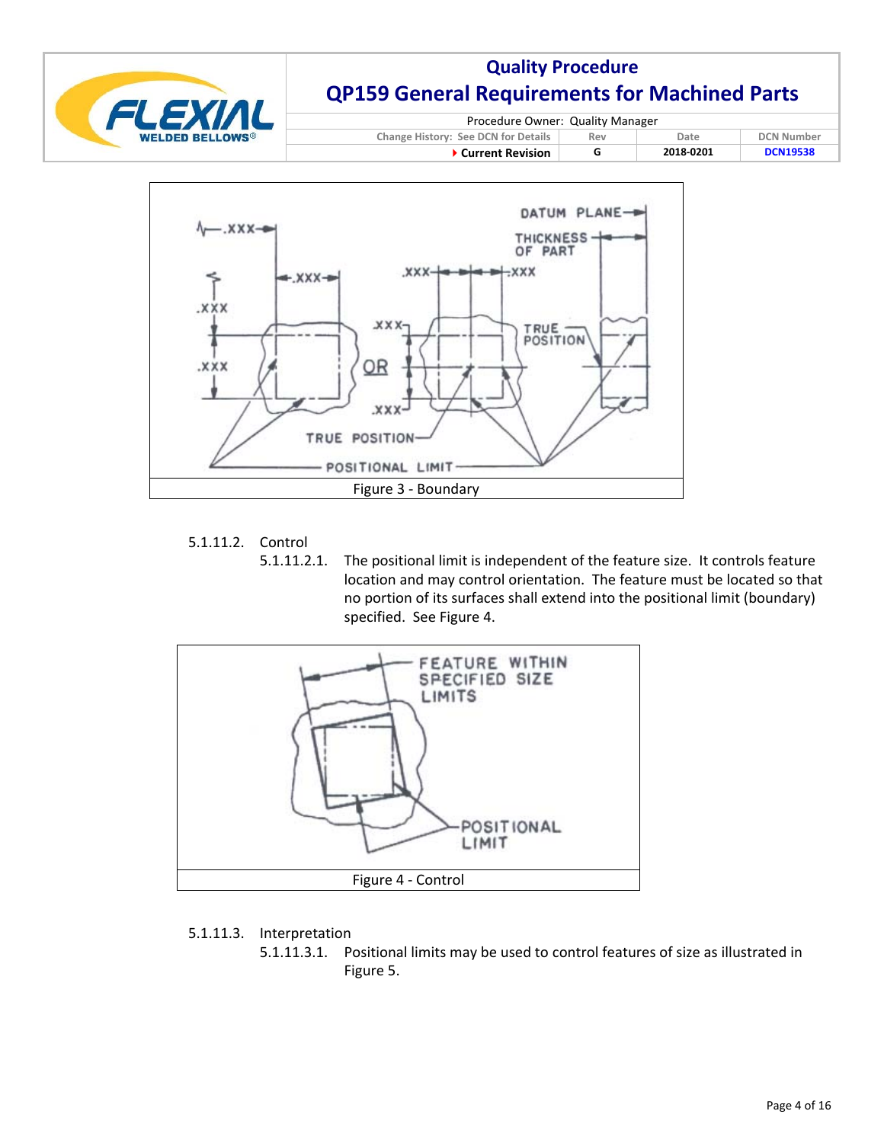



### 5.1.11.2. Control

5.1.11.2.1. The positional limit is independent of the feature size. It controls feature location and may control orientation. The feature must be located so that no portion of its surfaces shall extend into the positional limit (boundary) specified. See Figure 4.



### 5.1.11.3. Interpretation

5.1.11.3.1. Positional limits may be used to control features of size as illustrated in Figure 5.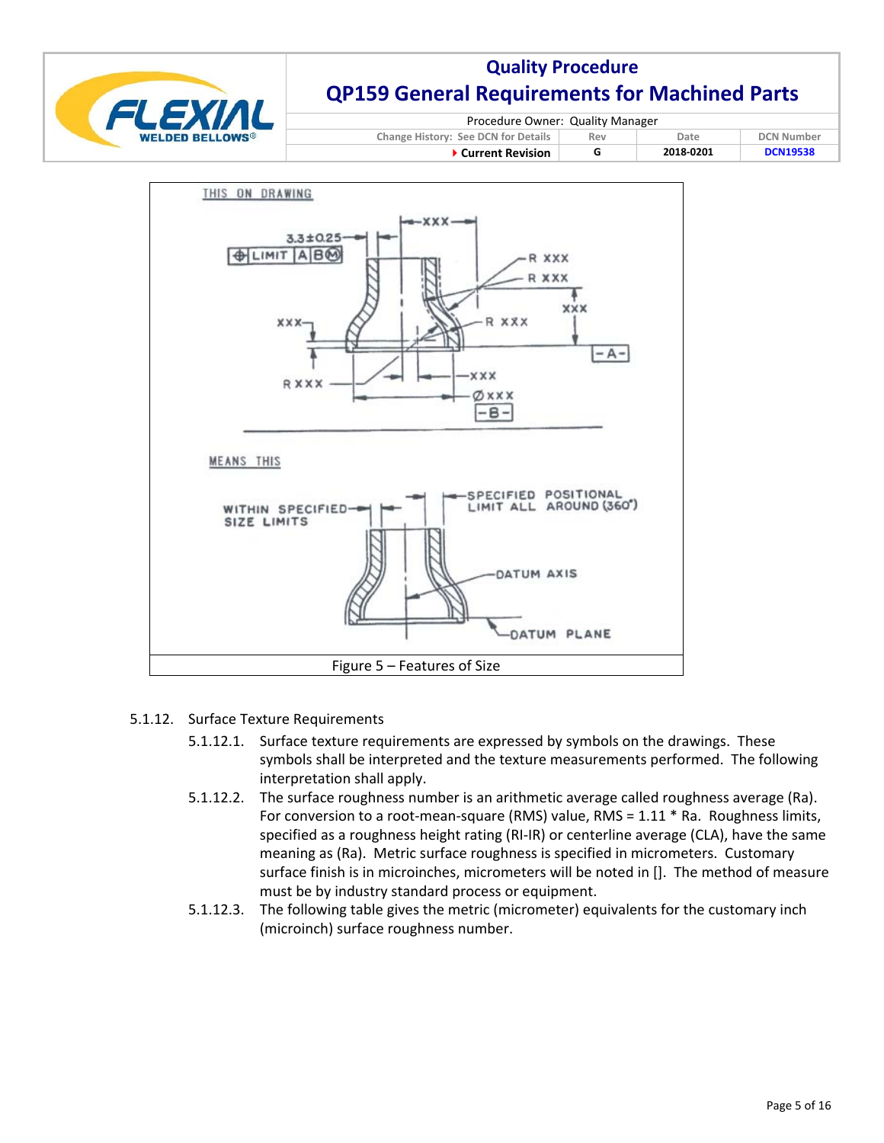

| Procedure Owner: Quality Manager                                        |  |  |  |  |
|-------------------------------------------------------------------------|--|--|--|--|
| Change History: See DCN for Details<br><b>DCN Number</b><br>Date<br>Rev |  |  |  |  |
| 2018-0201<br><b>DCN19538</b><br>▶ Current Revision                      |  |  |  |  |



- 5.1.12. Surface Texture Requirements
	- 5.1.12.1. Surface texture requirements are expressed by symbols on the drawings. These symbols shall be interpreted and the texture measurements performed. The following interpretation shall apply.
	- 5.1.12.2. The surface roughness number is an arithmetic average called roughness average (Ra). For conversion to a root-mean-square (RMS) value, RMS = 1.11 \* Ra. Roughness limits, specified as a roughness height rating (RI-IR) or centerline average (CLA), have the same meaning as (Ra). Metric surface roughness is specified in micrometers. Customary surface finish is in microinches, micrometers will be noted in []. The method of measure must be by industry standard process or equipment.
	- 5.1.12.3. The following table gives the metric (micrometer) equivalents for the customary inch (microinch) surface roughness number.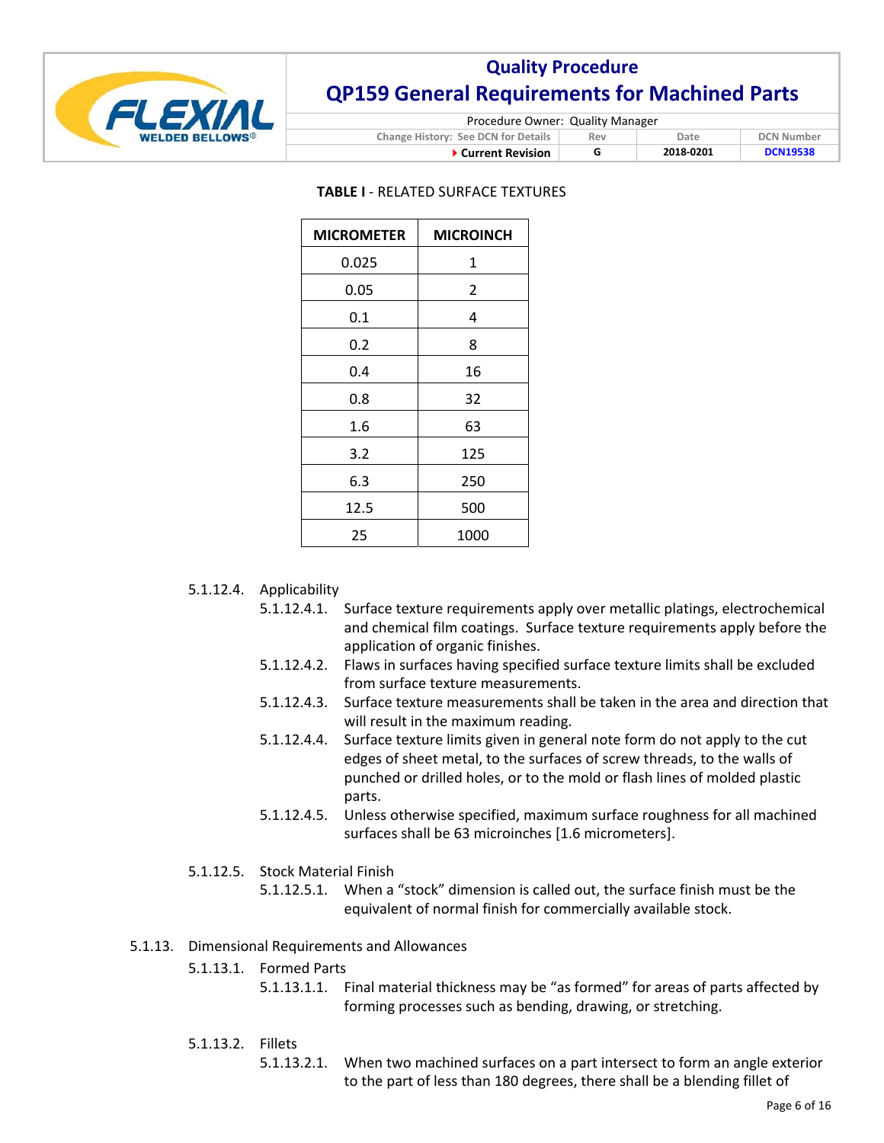

| Procedure Owner: Quality Manager   |     |      |        |  |
|------------------------------------|-----|------|--------|--|
| nga History: Saa DCN for Datails . | Rov | Date | DCN Nu |  |

| Change History: See DCN for Details<br>▶ Current Revision | Rev | Date<br>2018-0201 | <b>DCN Number</b><br><b>DCN19538</b> |  |
|-----------------------------------------------------------|-----|-------------------|--------------------------------------|--|
|                                                           |     |                   |                                      |  |

#### **TABLE I** ‐ RELATED SURFACE TEXTURES

| <b>MICROMETER</b> | <b>MICROINCH</b> |
|-------------------|------------------|
| 0.025             | 1                |
| 0.05              | 2                |
| 0.1               | 4                |
| 0.2               | 8                |
| 0.4               | 16               |
| 0.8               | 32               |
| 1.6               | 63               |
| 3.2               | 125              |
| 6.3               | 250              |
| 12.5              | 500              |
| 25                | 1000             |

5.1.12.4. Applicability

- 5.1.12.4.1. Surface texture requirements apply over metallic platings, electrochemical and chemical film coatings. Surface texture requirements apply before the application of organic finishes.
- 5.1.12.4.2. Flaws in surfaces having specified surface texture limits shall be excluded from surface texture measurements.
- 5.1.12.4.3. Surface texture measurements shall be taken in the area and direction that will result in the maximum reading.
- 5.1.12.4.4. Surface texture limits given in general note form do not apply to the cut edges of sheet metal, to the surfaces of screw threads, to the walls of punched or drilled holes, or to the mold or flash lines of molded plastic parts.
- 5.1.12.4.5. Unless otherwise specified, maximum surface roughness for all machined surfaces shall be 63 microinches [1.6 micrometers].
- 5.1.12.5. Stock Material Finish
	- 5.1.12.5.1. When a "stock" dimension is called out, the surface finish must be the equivalent of normal finish for commercially available stock.
- 5.1.13. Dimensional Requirements and Allowances
	- 5.1.13.1. Formed Parts
		- 5.1.13.1.1. Final material thickness may be "as formed" for areas of parts affected by forming processes such as bending, drawing, or stretching.
	- 5.1.13.2. Fillets
		- 5.1.13.2.1. When two machined surfaces on a part intersect to form an angle exterior to the part of less than 180 degrees, there shall be a blending fillet of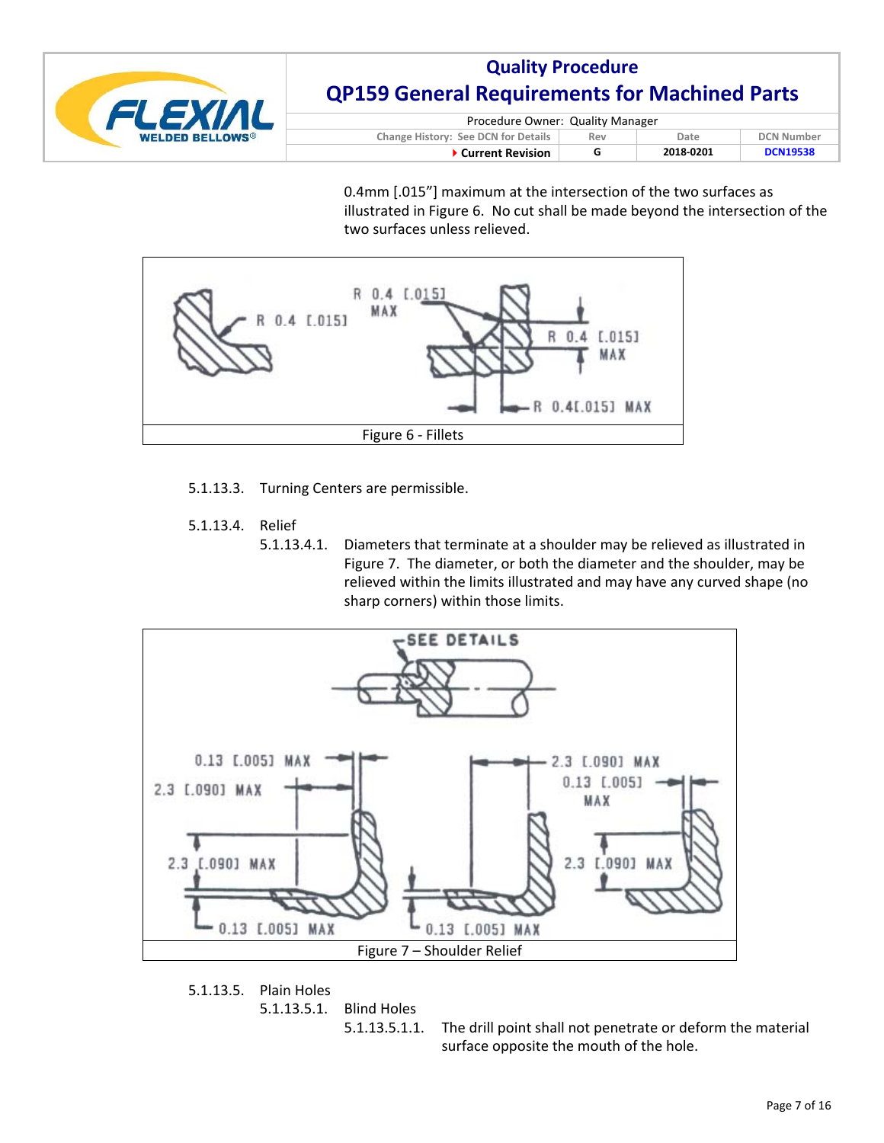

| Procedure Owner: Quality Manager                                        |  |           |                 |  |
|-------------------------------------------------------------------------|--|-----------|-----------------|--|
| Change History: See DCN for Details<br><b>DCN Number</b><br>Rev<br>Date |  |           |                 |  |
| ▶ Current Revision                                                      |  | 2018-0201 | <b>DCN19538</b> |  |

0.4mm [.015"] maximum at the intersection of the two surfaces as illustrated in Figure 6. No cut shall be made beyond the intersection of the two surfaces unless relieved.



- 5.1.13.3. Turning Centers are permissible.
- 5.1.13.4. Relief
	- 5.1.13.4.1. Diameters that terminate at a shoulder may be relieved as illustrated in Figure 7. The diameter, or both the diameter and the shoulder, may be relieved within the limits illustrated and may have any curved shape (no sharp corners) within those limits.



5.1.13.5. Plain Holes 5.1.13.5.1. Blind Holes

5.1.13.5.1.1. The drill point shall not penetrate or deform the material surface opposite the mouth of the hole.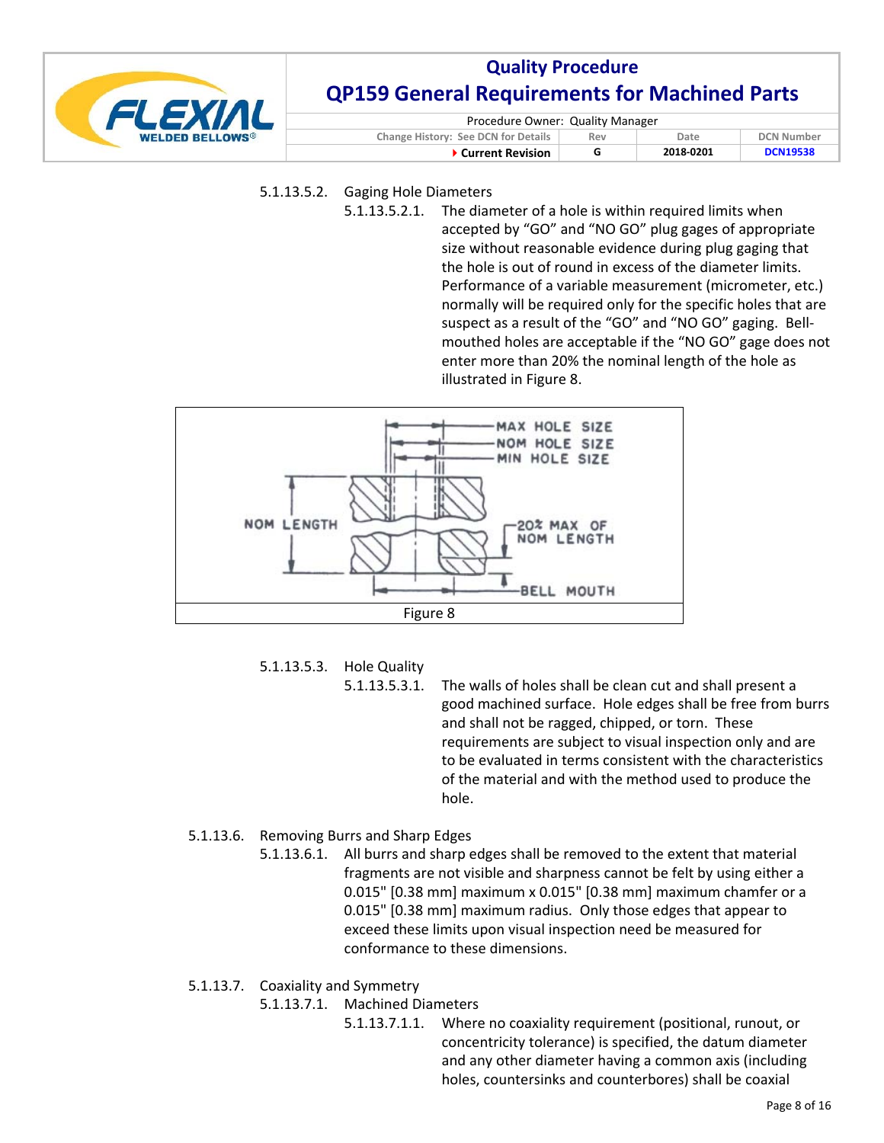

| Procedure Owner: Quality Manager                                               |  |           |                 |  |
|--------------------------------------------------------------------------------|--|-----------|-----------------|--|
| <b>Change History: See DCN for Details</b><br><b>DCN Number</b><br>Date<br>Rev |  |           |                 |  |
| ▶ Current Revision                                                             |  | 2018-0201 | <b>DCN19538</b> |  |

- 5.1.13.5.2. Gaging Hole Diameters
	- 5.1.13.5.2.1. The diameter of a hole is within required limits when accepted by "GO" and "NO GO" plug gages of appropriate size without reasonable evidence during plug gaging that the hole is out of round in excess of the diameter limits. Performance of a variable measurement (micrometer, etc.) normally will be required only for the specific holes that are suspect as a result of the "GO" and "NO GO" gaging. Bell‐ mouthed holes are acceptable if the "NO GO" gage does not enter more than 20% the nominal length of the hole as illustrated in Figure 8.



5.1.13.5.3. Hole Quality

5.1.13.5.3.1. The walls of holes shall be clean cut and shall present a good machined surface. Hole edges shall be free from burrs and shall not be ragged, chipped, or torn. These requirements are subject to visual inspection only and are to be evaluated in terms consistent with the characteristics of the material and with the method used to produce the hole.

## 5.1.13.6. Removing Burrs and Sharp Edges

5.1.13.6.1. All burrs and sharp edges shall be removed to the extent that material fragments are not visible and sharpness cannot be felt by using either a 0.015" [0.38 mm] maximum x 0.015" [0.38 mm] maximum chamfer or a 0.015" [0.38 mm] maximum radius. Only those edges that appear to exceed these limits upon visual inspection need be measured for conformance to these dimensions.

## 5.1.13.7. Coaxiality and Symmetry

- 5.1.13.7.1. Machined Diameters
	- 5.1.13.7.1.1. Where no coaxiality requirement (positional, runout, or concentricity tolerance) is specified, the datum diameter and any other diameter having a common axis (including holes, countersinks and counterbores) shall be coaxial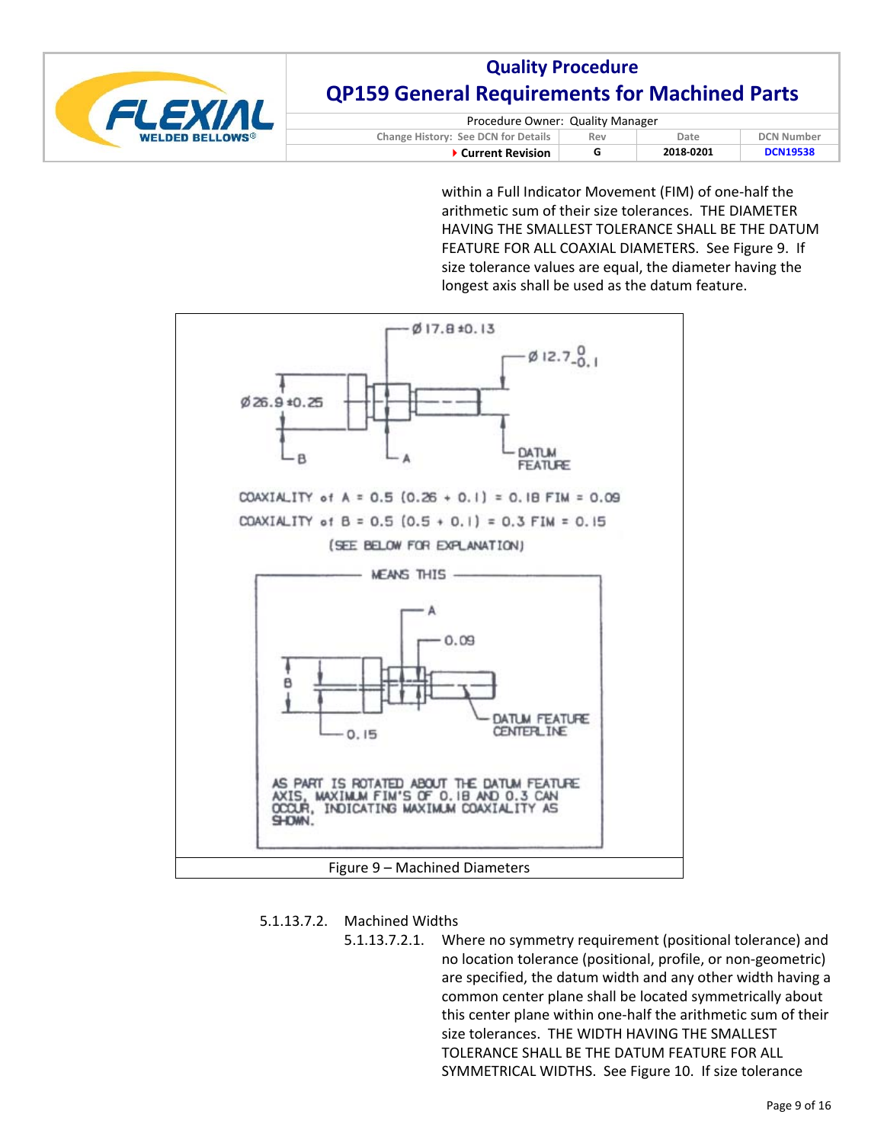

| Procedure Owner: Quality Manager                                        |  |           |                 |  |
|-------------------------------------------------------------------------|--|-----------|-----------------|--|
| Change History: See DCN for Details<br><b>DCN Number</b><br>Date<br>Rev |  |           |                 |  |
| ▶ Current Revision                                                      |  | 2018-0201 | <b>DCN19538</b> |  |

within a Full Indicator Movement (FIM) of one-half the arithmetic sum of their size tolerances. THE DIAMETER HAVING THE SMALLEST TOLERANCE SHALL BE THE DATUM FEATURE FOR ALL COAXIAL DIAMETERS. See Figure 9. If size tolerance values are equal, the diameter having the longest axis shall be used as the datum feature.



### 5.1.13.7.2. Machined Widths

5.1.13.7.2.1. Where no symmetry requirement (positional tolerance) and no location tolerance (positional, profile, or non‐geometric) are specified, the datum width and any other width having a common center plane shall be located symmetrically about this center plane within one‐half the arithmetic sum of their size tolerances. THE WIDTH HAVING THE SMALLEST TOLERANCE SHALL BE THE DATUM FEATURE FOR ALL SYMMETRICAL WIDTHS. See Figure 10. If size tolerance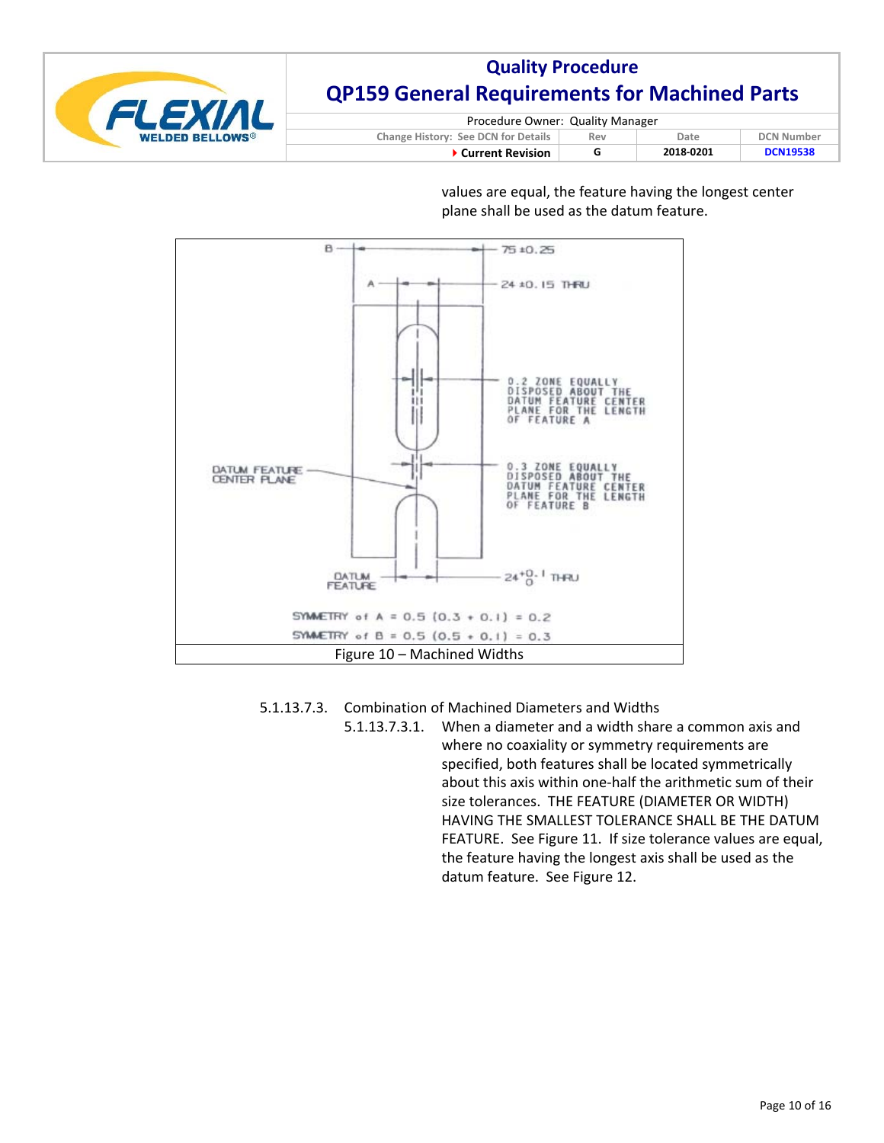

| Procedure Owner: Quality Manager                                        |   |           |                 |  |
|-------------------------------------------------------------------------|---|-----------|-----------------|--|
| Change History: See DCN for Details<br><b>DCN Number</b><br>Date<br>Rev |   |           |                 |  |
| ▶ Current Revision                                                      | G | 2018-0201 | <b>DCN19538</b> |  |

values are equal, the feature having the longest center plane shall be used as the datum feature.



5.1.13.7.3. Combination of Machined Diameters and Widths

5.1.13.7.3.1. When a diameter and a width share a common axis and where no coaxiality or symmetry requirements are specified, both features shall be located symmetrically about this axis within one‐half the arithmetic sum of their size tolerances. THE FEATURE (DIAMETER OR WIDTH) HAVING THE SMALLEST TOLERANCE SHALL BE THE DATUM FEATURE. See Figure 11. If size tolerance values are equal, the feature having the longest axis shall be used as the datum feature. See Figure 12.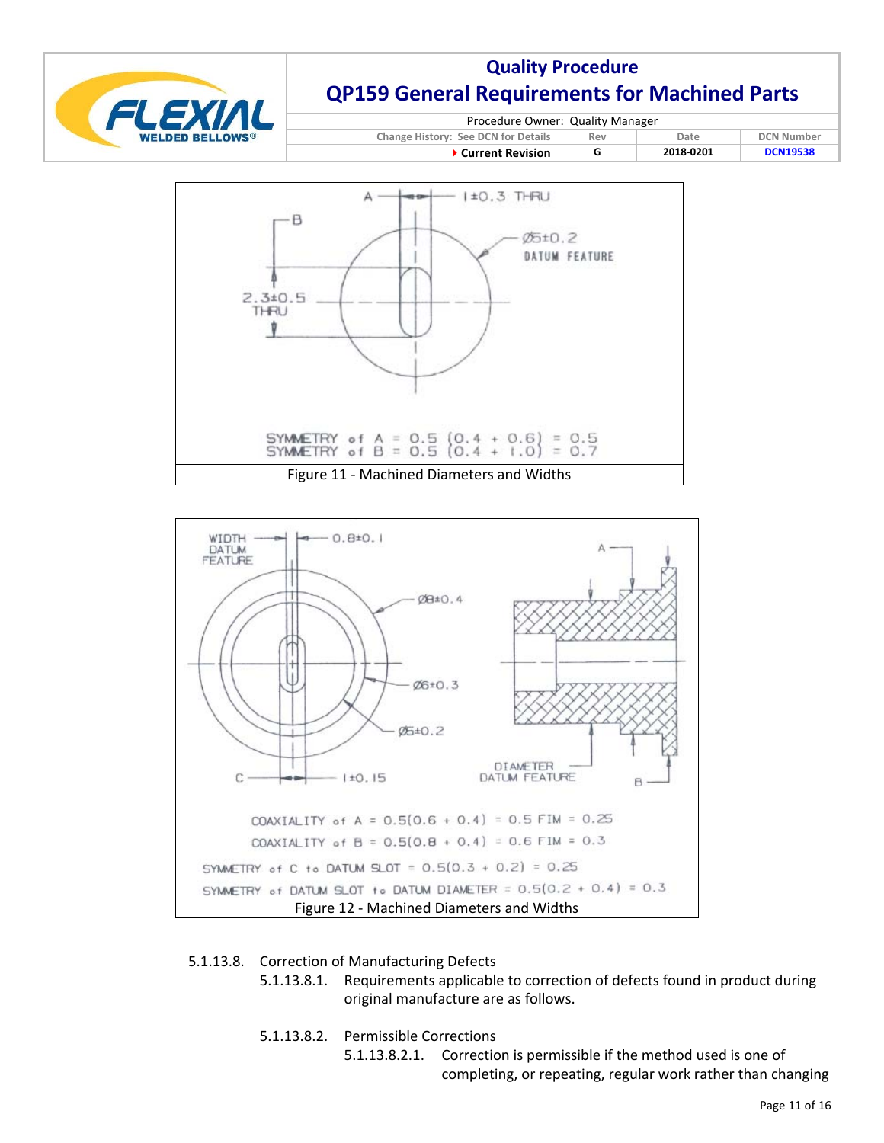

| Procedure Owner: Quality Manager                                        |  |           |                 |  |
|-------------------------------------------------------------------------|--|-----------|-----------------|--|
| Change History: See DCN for Details<br><b>DCN Number</b><br>Date<br>Rev |  |           |                 |  |
| $\blacktriangleright$ Current Revision                                  |  | 2018-0201 | <b>DCN19538</b> |  |





## 5.1.13.8. Correction of Manufacturing Defects

- 5.1.13.8.1. Requirements applicable to correction of defects found in product during original manufacture are as follows.
- 5.1.13.8.2. Permissible Corrections
	- 5.1.13.8.2.1. Correction is permissible if the method used is one of completing, or repeating, regular work rather than changing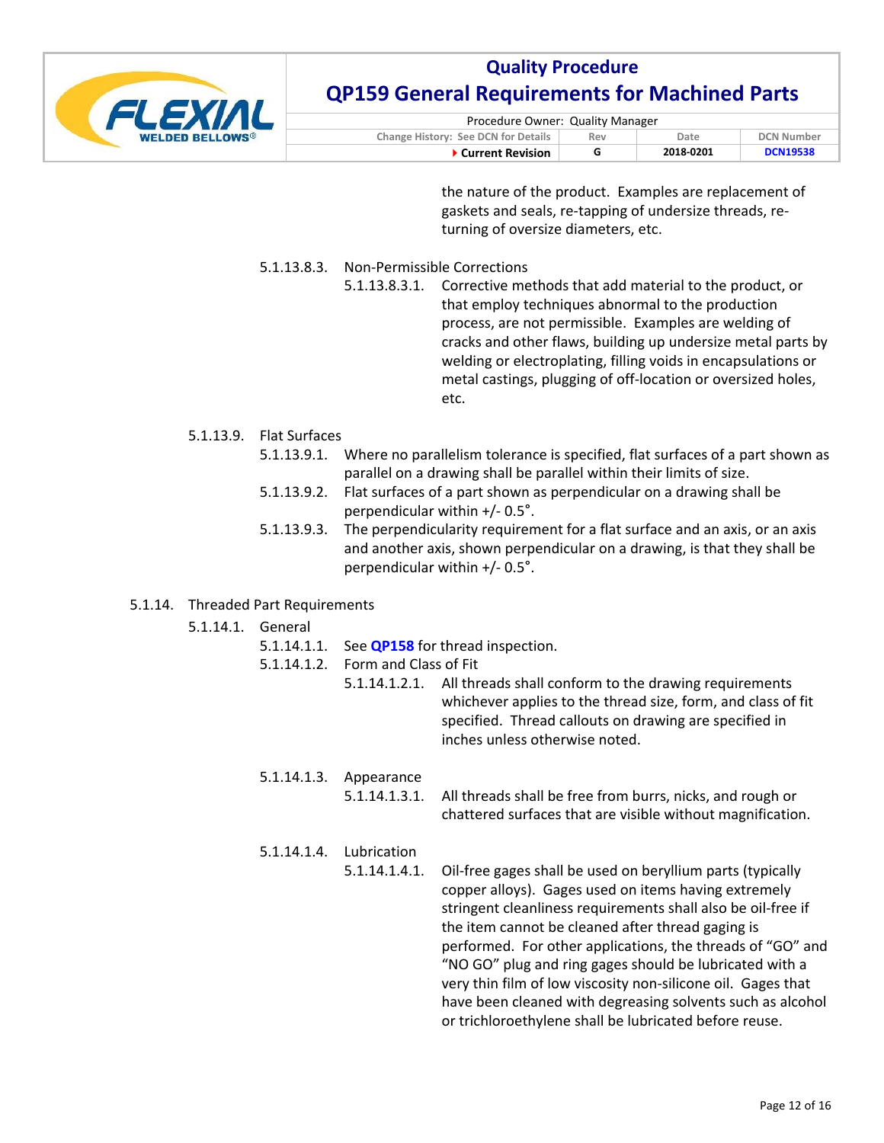

| Procedure Owner: Quality Manager    |     |           |                   |  |
|-------------------------------------|-----|-----------|-------------------|--|
| Change History: See DCN for Details | Rev | Date      | <b>DCN Number</b> |  |
| <b>▶ Current Revision</b>           |     | 2018-0201 | <b>DCN19538</b>   |  |

the nature of the product. Examples are replacement of gaskets and seals, re‐tapping of undersize threads, re‐ turning of oversize diameters, etc.

- 5.1.13.8.3. Non‐Permissible Corrections
	- 5.1.13.8.3.1. Corrective methods that add material to the product, or that employ techniques abnormal to the production process, are not permissible. Examples are welding of cracks and other flaws, building up undersize metal parts by welding or electroplating, filling voids in encapsulations or metal castings, plugging of off‐location or oversized holes, etc.

### 5.1.13.9. Flat Surfaces

- 5.1.13.9.1. Where no parallelism tolerance is specified, flat surfaces of a part shown as parallel on a drawing shall be parallel within their limits of size.
- 5.1.13.9.2. Flat surfaces of a part shown as perpendicular on a drawing shall be perpendicular within +/‐ 0.5°.
- 5.1.13.9.3. The perpendicularity requirement for a flat surface and an axis, or an axis and another axis, shown perpendicular on a drawing, is that they shall be perpendicular within +/‐ 0.5°.

### 5.1.14. Threaded Part Requirements

| 5.1.14.1. | General                    |                              |                                                                                                                                                                                                                                                                                                                                                                                                                                                                                                                                                          |
|-----------|----------------------------|------------------------------|----------------------------------------------------------------------------------------------------------------------------------------------------------------------------------------------------------------------------------------------------------------------------------------------------------------------------------------------------------------------------------------------------------------------------------------------------------------------------------------------------------------------------------------------------------|
|           | 5.1.14.1.1.<br>5.1.14.1.2. | Form and Class of Fit        | See <b>QP158</b> for thread inspection.<br>5.1.14.1.2.1. All threads shall conform to the drawing requirements<br>whichever applies to the thread size, form, and class of fit<br>specified. Thread callouts on drawing are specified in<br>inches unless otherwise noted.                                                                                                                                                                                                                                                                               |
|           | 5.1.14.1.3.                | Appearance<br>5.1.14.1.3.1.  | All threads shall be free from burrs, nicks, and rough or<br>chattered surfaces that are visible without magnification.                                                                                                                                                                                                                                                                                                                                                                                                                                  |
|           | 5.1.14.1.4.                | Lubrication<br>5.1.14.1.4.1. | Oil-free gages shall be used on beryllium parts (typically<br>copper alloys). Gages used on items having extremely<br>stringent cleanliness requirements shall also be oil-free if<br>the item cannot be cleaned after thread gaging is<br>performed. For other applications, the threads of "GO" and<br>"NO GO" plug and ring gages should be lubricated with a<br>very thin film of low viscosity non-silicone oil. Gages that<br>have been cleaned with degreasing solvents such as alcohol<br>or trichloroethylene shall be lubricated before reuse. |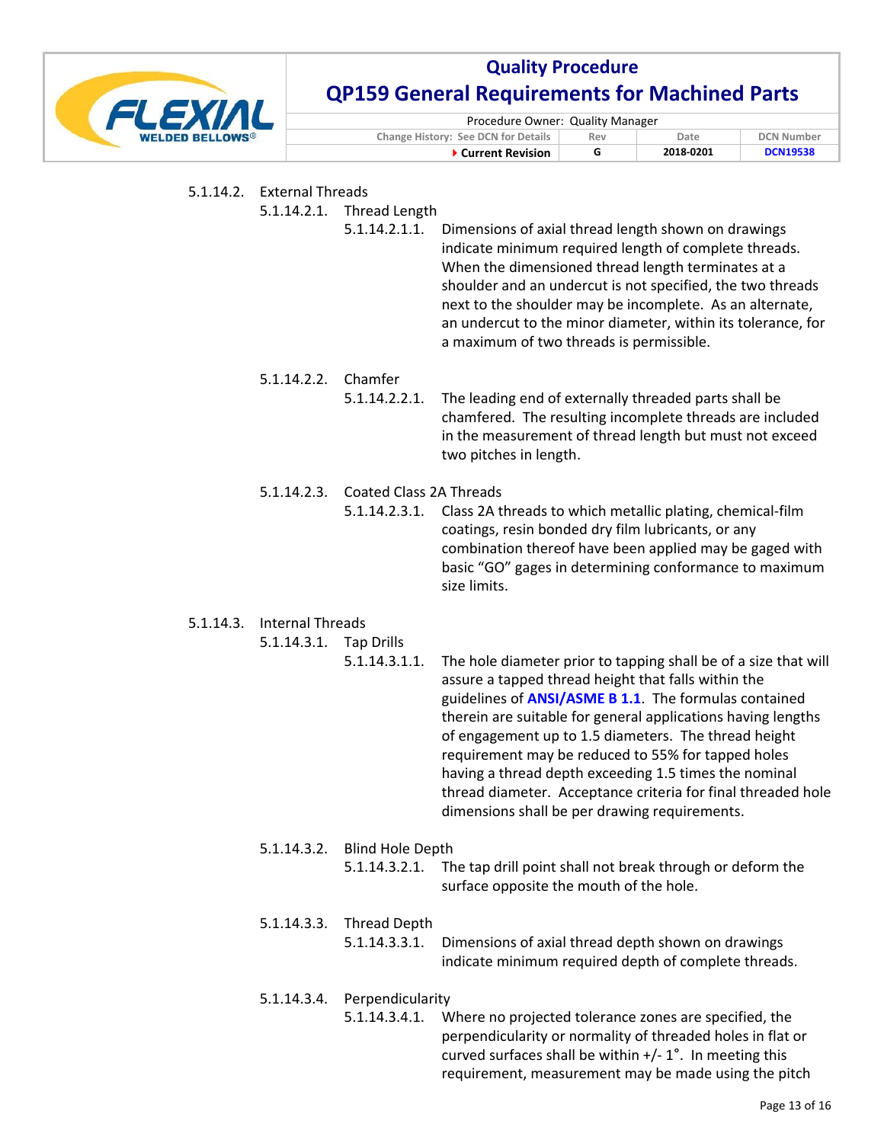

| Procedure Owner: Quality Manager    |     |           |                   |
|-------------------------------------|-----|-----------|-------------------|
| Change History: See DCN for Details | Rev | Date      | <b>DCN Number</b> |
| ▶ Current Revision                  |     | 2018-0201 | <b>DCN19538</b>   |

|           | 5.1.14.2. External Threads<br>5.1.14.2.1. | <b>Thread Length</b><br>5.1.14.2.1.1.           | Dimensions of axial thread length shown on drawings<br>indicate minimum required length of complete threads.<br>When the dimensioned thread length terminates at a<br>shoulder and an undercut is not specified, the two threads<br>next to the shoulder may be incomplete. As an alternate,<br>an undercut to the minor diameter, within its tolerance, for<br>a maximum of two threads is permissible.                                                                                                                                        |
|-----------|-------------------------------------------|-------------------------------------------------|-------------------------------------------------------------------------------------------------------------------------------------------------------------------------------------------------------------------------------------------------------------------------------------------------------------------------------------------------------------------------------------------------------------------------------------------------------------------------------------------------------------------------------------------------|
|           | 5.1.14.2.2.                               | Chamfer<br>5.1.14.2.2.1.                        | The leading end of externally threaded parts shall be<br>chamfered. The resulting incomplete threads are included<br>in the measurement of thread length but must not exceed<br>two pitches in length.                                                                                                                                                                                                                                                                                                                                          |
|           | 5.1.14.2.3.                               | <b>Coated Class 2A Threads</b><br>5.1.14.2.3.1. | Class 2A threads to which metallic plating, chemical-film<br>coatings, resin bonded dry film lubricants, or any<br>combination thereof have been applied may be gaged with<br>basic "GO" gages in determining conformance to maximum<br>size limits.                                                                                                                                                                                                                                                                                            |
| 5.1.14.3. | <b>Internal Threads</b><br>5.1.14.3.1.    | <b>Tap Drills</b><br>5.1.14.3.1.1.              | The hole diameter prior to tapping shall be of a size that will<br>assure a tapped thread height that falls within the<br>guidelines of <b>ANSI/ASME B 1.1</b> . The formulas contained<br>therein are suitable for general applications having lengths<br>of engagement up to 1.5 diameters. The thread height<br>requirement may be reduced to 55% for tapped holes<br>having a thread depth exceeding 1.5 times the nominal<br>thread diameter. Acceptance criteria for final threaded hole<br>dimensions shall be per drawing requirements. |
|           | 5.1.14.3.2.                               | <b>Blind Hole Depth</b><br>5.1.14.3.2.1.        | The tap drill point shall not break through or deform the<br>surface opposite the mouth of the hole.                                                                                                                                                                                                                                                                                                                                                                                                                                            |
|           | 5.1.14.3.3.                               | <b>Thread Depth</b><br>5.1.14.3.3.1.            | Dimensions of axial thread depth shown on drawings<br>indicate minimum required depth of complete threads.                                                                                                                                                                                                                                                                                                                                                                                                                                      |
|           | 5.1.14.3.4.                               | Perpendicularity<br>5.1.14.3.4.1.               | Where no projected tolerance zones are specified, the<br>perpendicularity or normality of threaded holes in flat or                                                                                                                                                                                                                                                                                                                                                                                                                             |

curved surfaces shall be within  $+/- 1$ °. In meeting this requirement, measurement may be made using the pitch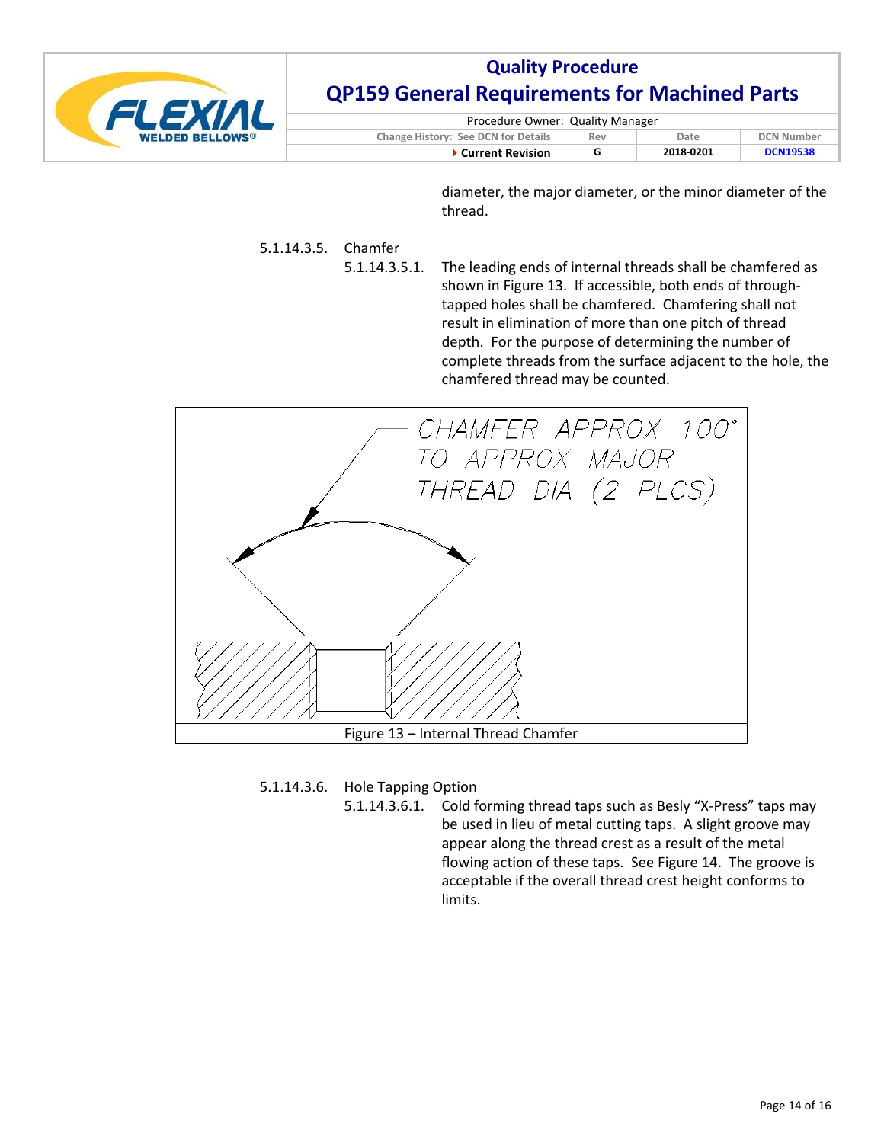

| Procedure Owner: Quality Manager           |     |           |                   |
|--------------------------------------------|-----|-----------|-------------------|
| <b>Change History: See DCN for Details</b> | Rev | Date      | <b>DCN Number</b> |
| ▶ Current Revision                         |     | 2018-0201 | <b>DCN19538</b>   |

diameter, the major diameter, or the minor diameter of the thread.

## 5.1.14.3.5. Chamfer

5.1.14.3.5.1. The leading ends of internal threads shall be chamfered as shown in Figure 13. If accessible, both ends of through‐ tapped holes shall be chamfered. Chamfering shall not result in elimination of more than one pitch of thread depth. For the purpose of determining the number of complete threads from the surface adjacent to the hole, the chamfered thread may be counted.



5.1.14.3.6. Hole Tapping Option

5.1.14.3.6.1. Cold forming thread taps such as Besly "X‐Press" taps may be used in lieu of metal cutting taps. A slight groove may appear along the thread crest as a result of the metal flowing action of these taps. See Figure 14. The groove is acceptable if the overall thread crest height conforms to limits.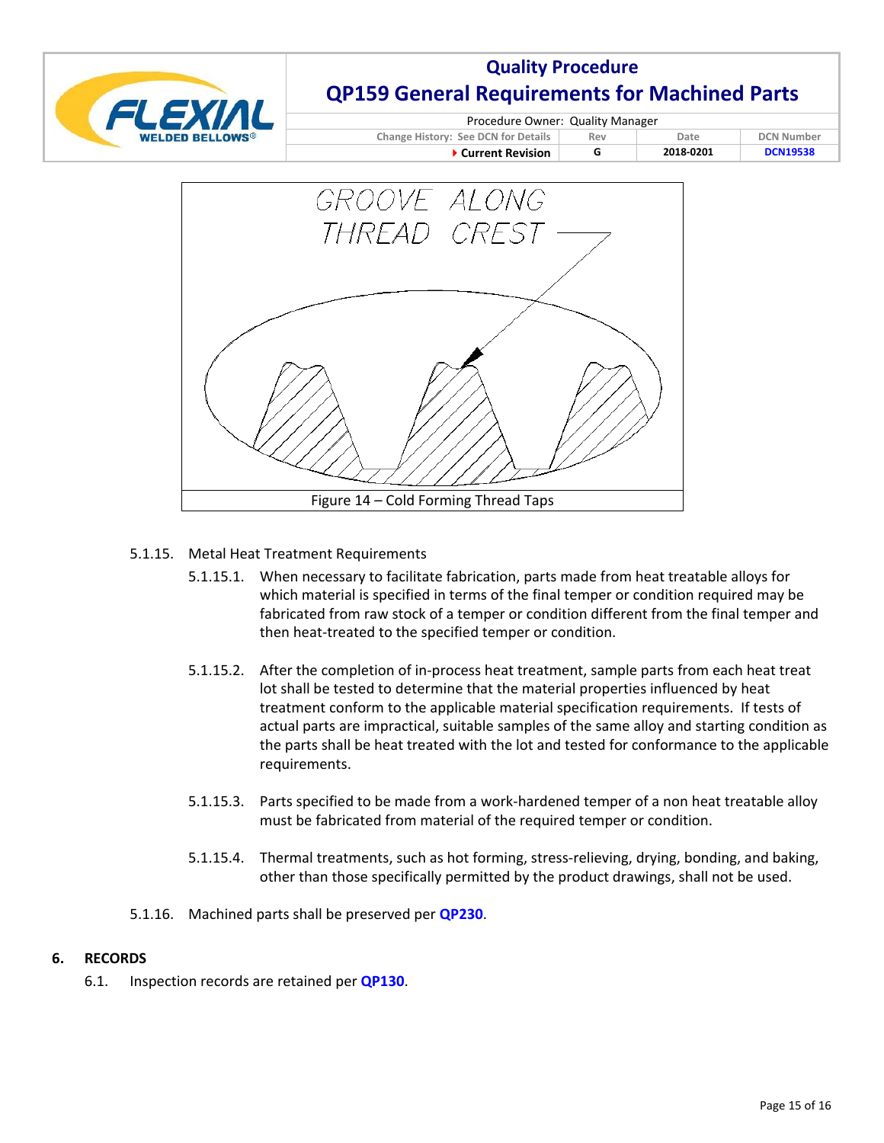

| Procedure Owner: Quality Manager    |     |           |                   |  |  |
|-------------------------------------|-----|-----------|-------------------|--|--|
| Change History: See DCN for Details | Rev | Date      | <b>DCN Number</b> |  |  |
| ▶ Current Revision                  |     | 2018-0201 | <b>DCN19538</b>   |  |  |



## 5.1.15. Metal Heat Treatment Requirements

- 5.1.15.1. When necessary to facilitate fabrication, parts made from heat treatable alloys for which material is specified in terms of the final temper or condition required may be fabricated from raw stock of a temper or condition different from the final temper and then heat‐treated to the specified temper or condition.
- 5.1.15.2. After the completion of in‐process heat treatment, sample parts from each heat treat lot shall be tested to determine that the material properties influenced by heat treatment conform to the applicable material specification requirements. If tests of actual parts are impractical, suitable samples of the same alloy and starting condition as the parts shall be heat treated with the lot and tested for conformance to the applicable requirements.
- 5.1.15.3. Parts specified to be made from a work‐hardened temper of a non heat treatable alloy must be fabricated from material of the required temper or condition.
- 5.1.15.4. Thermal treatments, such as hot forming, stress-relieving, drying, bonding, and baking, other than those specifically permitted by the product drawings, shall not be used.
- 5.1.16. Machined parts shall be preserved per **QP230**.

### **6. RECORDS**

6.1. Inspection records are retained per **QP130**.